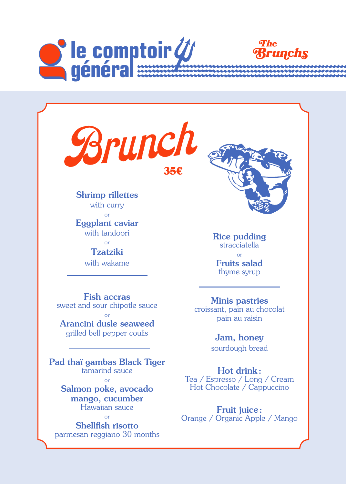

Brunch 35€

Shrimp rillettes with curry or Eggplant caviar with tandoori or Tzatziki

with wakame

Fish accras sweet and sour chipotle sauce

or Arancini dusle seaweed grilled bell pepper coulis

Pad thaï gambas Black Tiger tamarind sauce or

> Salmon poke, avocado mango, cucumber Hawaiian sauce

or Shellfish risotto parmesan reggiano 30 months



Rice pudding stracciatella or Fruits salad thyme syrup

# Minis pastries

croissant, pain au chocolat pain au raisin

### Jam, honey

sourdough bread

Hot drink: Tea / Espresso / Long / Cream Hot Chocolate / Cappuccino

Fruit juice: Orange / Organic Apple / Mango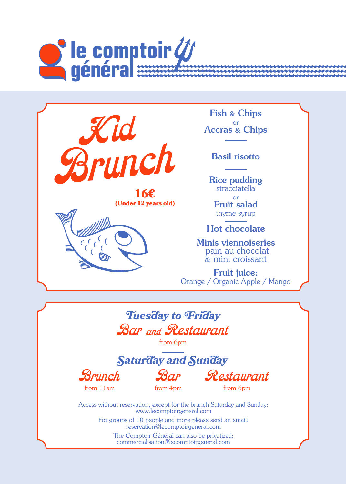



16€ (Under 12 years old)



Fish & Chips or Accras & Chips

Basil risotto

Rice pudding stracciatella or Fruit salad thyme syrup

Hot chocolate

Minis viennoiseries pain au chocolat & mini croissant

**Fruit juice:** Orange / Organic Apple / Mango



from 6pm

*Saturday and Sunday*





Restaurant

from 6pm

Access without reservation, except for the brunch Saturday and Sunday: www.lecomptoirgeneral.com

> For groups of 10 people and more please send an email: reservation@lecomptoirgeneral.com

The Comptoir Général can also be privatized: commercialisation@lecomptoirgeneral.com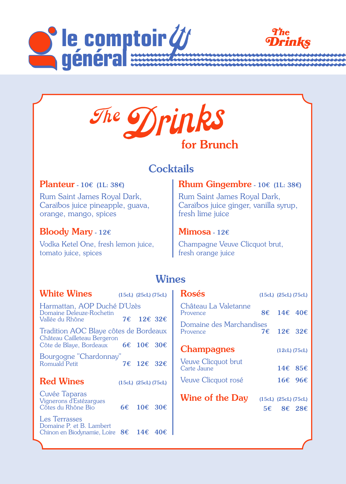





# **Cocktails**

#### Planteur - 10€ (1L: 38€)

Rum Saint James Royal Dark, Caraïbos juice pineapple, guava, orange, mango, spices

### Bloody Mary - 12€

Vodka Ketel One, fresh lemon juice, tomato juice, spices

### Rhum Gingembre - 10€ (1L: 38€)

Rum Saint James Royal Dark, Caraïbos juice ginger, vanilla syrup, fresh lime juice

#### $M$ imosa - 12 $\epsilon$

Champagne Veuve Clicquot brut, fresh orange juice

## **Wines**

| <b>White Wines</b>                                                                          |    | $(15cL)$ $(25cL)$ $(75cL)$ |  |  |  |
|---------------------------------------------------------------------------------------------|----|----------------------------|--|--|--|
| Harmattan, AOP Duché D'Uzès<br>Domaine Deleuze-Rochetin                                     |    |                            |  |  |  |
| Vallée du Rhône                                                                             |    | 7€ 12€ 32€                 |  |  |  |
| Tradition AOC Blaye côtes de Bordeaux<br>Château Cailleteau Bergeron                        |    |                            |  |  |  |
| Côte de Blaye, Bordeaux 6€ 10€ 30€                                                          |    |                            |  |  |  |
| Bourgogne "Chardonnay"<br>Romuald Petit                                                     | 7€ | $12\epsilon$ 32 $\epsilon$ |  |  |  |
| <b>Red Wines</b>                                                                            |    | $(15cL)$ $(25cL)$ $(75cL)$ |  |  |  |
| Cuvée Taparas<br>Vignerons d'Estézarques<br>Côtes du Rhône Bio                              |    | 6€ 10€ 30€                 |  |  |  |
| <b>Les Terrasses</b><br>Domaine P. et B. Lambert<br>Chinon en Biodynamie, Loire $8\epsilon$ |    | $14\epsilon$ 40 $\epsilon$ |  |  |  |

| Rosés                                |     | $(15cL)$ $(25cL)$ $(75cL)$        |                             |
|--------------------------------------|-----|-----------------------------------|-----------------------------|
| Château La Valetanne<br>Provence     | 8€. | 14 $\epsilon$ 40 $\epsilon$       |                             |
| Domaine des Marchandises<br>Provence | 7€  | 12€ 32€                           |                             |
| <b>Champagnes</b>                    |     | $(12cL)$ $(75cL)$                 |                             |
| Veuve Clicquot brut<br>Carte Jaune   |     |                                   | 14 $\epsilon$ 85 $\epsilon$ |
| Veuve Clicquot rosé                  |     |                                   | 16 $\epsilon$ 96 $\epsilon$ |
| <b>Wine of the Day</b>               |     | (15cL) (25cL) (75cL)<br>5€ 8€ 28€ |                             |